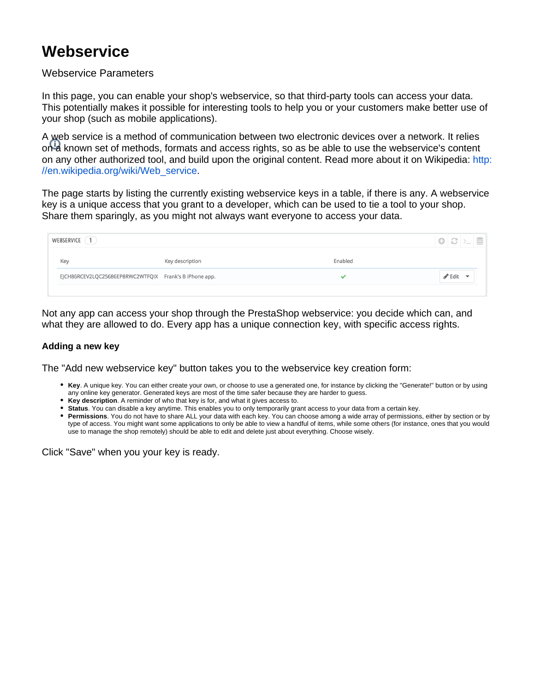## **Webservice**

## Webservice Parameters

In this page, you can enable your shop's webservice, so that third-party tools can access your data. This potentially makes it possible for interesting tools to help you or your customers make better use of your shop (such as mobile applications).

A web service is a method of communication between two electronic devices over a network. It relies on a known set of methods, formats and access rights, so as be able to use the webservice's content on any other authorized tool, and build upon the original content. Read more about it on Wikipedia: [http:](http://en.wikipedia.org/wiki/Web_service) [//en.wikipedia.org/wiki/Web\\_service.](http://en.wikipedia.org/wiki/Web_service)

The page starts by listing the currently existing webservice keys in a table, if there is any. A webservice key is a unique access that you grant to a developer, which can be used to tie a tool to your shop. Share them sparingly, as you might not always want everyone to access your data.

| WEBSERVICE (1)                                         |                 |         | $\bigcirc$ $\bigcirc$ $\big $ $\bigcirc$ $\big $ $\bigcirc$ |  |
|--------------------------------------------------------|-----------------|---------|-------------------------------------------------------------|--|
| Key                                                    | Key description | Enabled |                                                             |  |
| EJCH86RCEV2LQC25686EP8RWC2WTFQIX Frank's B iPhone app. |                 |         | $\blacktriangleright$ Edit                                  |  |
|                                                        |                 |         |                                                             |  |

Not any app can access your shop through the PrestaShop webservice: you decide which can, and what they are allowed to do. Every app has a unique connection key, with specific access rights.

## **Adding a new key**

The "Add new webservice key" button takes you to the webservice key creation form:

- **Key**. A unique key. You can either create your own, or choose to use a generated one, for instance by clicking the "Generate!" button or by using any online key generator. Generated keys are most of the time safer because they are harder to guess.
- **Key description**. A reminder of who that key is for, and what it gives access to.
- **Status**. You can disable a key anytime. This enables you to only temporarily grant access to your data from a certain key.
- **Permissions**. You do not have to share ALL your data with each key. You can choose among a wide array of permissions, either by section or by type of access. You might want some applications to only be able to view a handful of items, while some others (for instance, ones that you would use to manage the shop remotely) should be able to edit and delete just about everything. Choose wisely.

Click "Save" when you your key is ready.